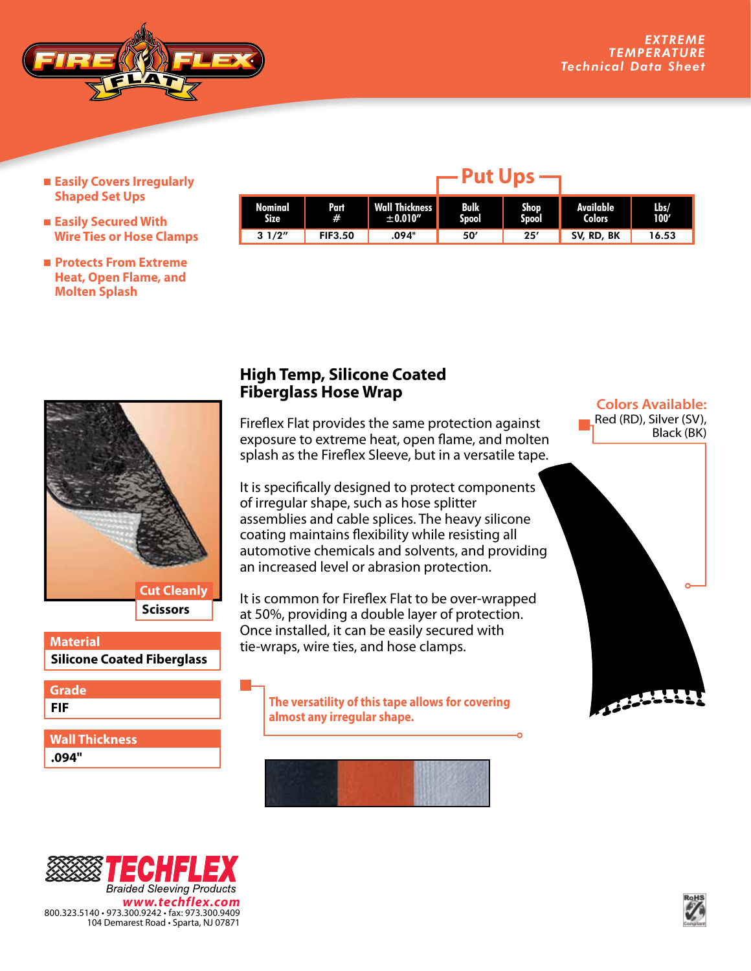

- **Easily Covers Irregularly Shaped Set Ups**
- **Easily Secured With Wire Ties or Hose Clamps**
- **Protects From Extreme Heat, Open Flame, and Molten Splash**

| Nominal<br><b>Size</b> | Part<br>#      | <b>Wall Thickness</b><br>±0.010" | Bulk<br>Spool | <b>Shop</b><br>Spool | Available<br><b>Colors</b> | Lbs/<br>100' |
|------------------------|----------------|----------------------------------|---------------|----------------------|----------------------------|--------------|
| 31/2"                  | <b>FIF3.50</b> | .094"                            | 50′           | 25'                  | SV, RD, BK                 | 16.53        |

**Put Ups**



## **Silicone Coated Fiberglass Material**

**FIF Grade**

**.094" Wall Thickness**

## **High Temp, Silicone Coated Fiberglass Hose Wrap**

Fireflex Flat provides the same protection against exposure to extreme heat, open flame, and molten splash as the Fireflex Sleeve, but in a versatile tape.

It is specifically designed to protect components of irregular shape, such as hose splitter assemblies and cable splices. The heavy silicone coating maintains flexibility while resisting all automotive chemicals and solvents, and providing an increased level or abrasion protection.

It is common for Fireflex Flat to be over-wrapped at 50%, providing a double layer of protection. Once installed, it can be easily secured with tie-wraps, wire ties, and hose clamps.

**The versatility of this tape allows for covering almost any irregular shape.**



## **Colors Available:** Red (RD), Silver (SV), Black (BK)  $12222$